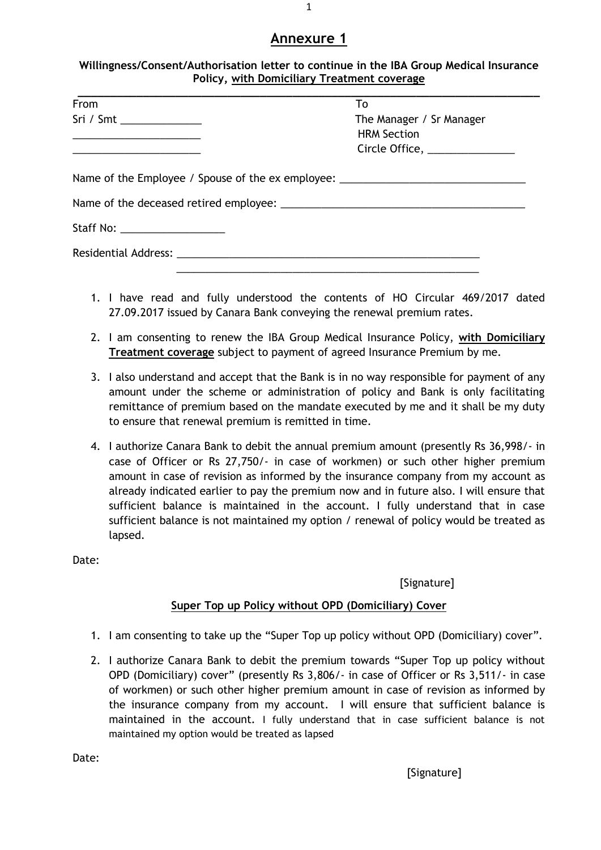| Willingness/Consent/Authorisation letter to continue in the IBA Group Medical Insurance |
|-----------------------------------------------------------------------------------------|
| <b>Policy, with Domiciliary Treatment coverage</b>                                      |

| From                                                                                                                   | To                            |
|------------------------------------------------------------------------------------------------------------------------|-------------------------------|
| Sri / Smt _______________                                                                                              | The Manager / Sr Manager      |
|                                                                                                                        | <b>HRM Section</b>            |
| <u> 1980 - Johann John Stein, markin fan it ferstjer fan de ferstjer fan it ferstjer fan it ferstjer fan it ferstj</u> | Circle Office, ______________ |
| Name of the Employee / Spouse of the ex employee: ______________________________                                       |                               |
|                                                                                                                        |                               |
| Staff No: ____________________                                                                                         |                               |
|                                                                                                                        |                               |
|                                                                                                                        |                               |

- 1. I have read and fully understood the contents of HO Circular 469/2017 dated 27.09.2017 issued by Canara Bank conveying the renewal premium rates.
- 2. I am consenting to renew the IBA Group Medical Insurance Policy, **with Domiciliary Treatment coverage** subject to payment of agreed Insurance Premium by me.
- 3. I also understand and accept that the Bank is in no way responsible for payment of any amount under the scheme or administration of policy and Bank is only facilitating remittance of premium based on the mandate executed by me and it shall be my duty to ensure that renewal premium is remitted in time.
- 4. I authorize Canara Bank to debit the annual premium amount (presently Rs 36,998/- in case of Officer or Rs 27,750/- in case of workmen) or such other higher premium amount in case of revision as informed by the insurance company from my account as already indicated earlier to pay the premium now and in future also. I will ensure that sufficient balance is maintained in the account. I fully understand that in case sufficient balance is not maintained my option / renewal of policy would be treated as lapsed.

Date:

[Signature]

## **Super Top up Policy without OPD (Domiciliary) Cover**

- 1. I am consenting to take up the "Super Top up policy without OPD (Domiciliary) cover".
- 2. I authorize Canara Bank to debit the premium towards "Super Top up policy without OPD (Domiciliary) cover" (presently Rs 3,806/- in case of Officer or Rs 3,511/- in case of workmen) or such other higher premium amount in case of revision as informed by the insurance company from my account. I will ensure that sufficient balance is maintained in the account. I fully understand that in case sufficient balance is not maintained my option would be treated as lapsed

Date:

[Signature]

1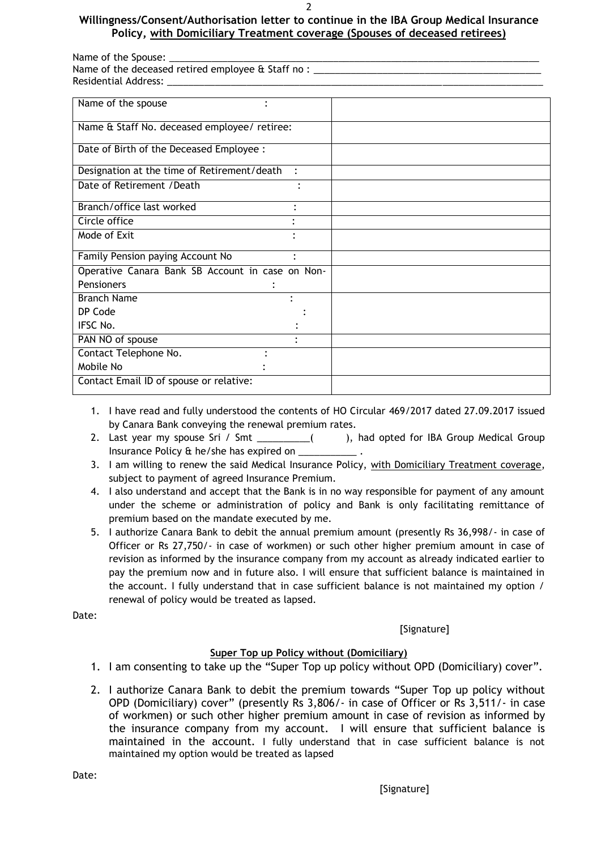#### 2

### **Willingness/Consent/Authorisation letter to continue in the IBA Group Medical Insurance Policy, with Domiciliary Treatment coverage (Spouses of deceased retirees)**

| Name of the Spouse:                                       |  |
|-----------------------------------------------------------|--|
| Name of the deceased retired employee $\theta$ Staff no : |  |
| Residential Address:                                      |  |
|                                                           |  |

| Name of the spouse                                                  |
|---------------------------------------------------------------------|
| Name & Staff No. deceased employee/ retiree:                        |
| Date of Birth of the Deceased Employee :                            |
| Designation at the time of Retirement/death<br>$\ddot{\phantom{a}}$ |
| Date of Retirement / Death                                          |
| Branch/office last worked<br>$\bullet$                              |
| Circle office                                                       |
| Mode of Exit                                                        |
| Family Pension paying Account No<br>$\bullet$                       |
| Operative Canara Bank SB Account in case on Non-                    |
| <b>Pensioners</b><br>٠                                              |
| <b>Branch Name</b>                                                  |
| DP Code                                                             |
| IFSC No.                                                            |
| PAN NO of spouse                                                    |
| Contact Telephone No.                                               |
| Mobile No                                                           |
| Contact Email ID of spouse or relative:                             |

- 1. I have read and fully understood the contents of HO Circular 469/2017 dated 27.09.2017 issued by Canara Bank conveying the renewal premium rates.
- 2. Last year my spouse Sri / Smt \_\_\_\_\_\_\_\_\_( ), had opted for IBA Group Medical Group Insurance Policy & he/she has expired on \_\_\_\_\_\_\_\_\_\_\_ .
- 3. I am willing to renew the said Medical Insurance Policy, with Domiciliary Treatment coverage, subject to payment of agreed Insurance Premium.
- 4. I also understand and accept that the Bank is in no way responsible for payment of any amount under the scheme or administration of policy and Bank is only facilitating remittance of premium based on the mandate executed by me.
- 5. I authorize Canara Bank to debit the annual premium amount (presently Rs 36,998/- in case of Officer or Rs 27,750/- in case of workmen) or such other higher premium amount in case of revision as informed by the insurance company from my account as already indicated earlier to pay the premium now and in future also. I will ensure that sufficient balance is maintained in the account. I fully understand that in case sufficient balance is not maintained my option / renewal of policy would be treated as lapsed.

Date:

[Signature]

## **Super Top up Policy without (Domiciliary)**

- 1. I am consenting to take up the "Super Top up policy without OPD (Domiciliary) cover".
- 2. I authorize Canara Bank to debit the premium towards "Super Top up policy without OPD (Domiciliary) cover" (presently Rs 3,806/- in case of Officer or Rs 3,511/- in case of workmen) or such other higher premium amount in case of revision as informed by the insurance company from my account. I will ensure that sufficient balance is maintained in the account. I fully understand that in case sufficient balance is not maintained my option would be treated as lapsed

Date: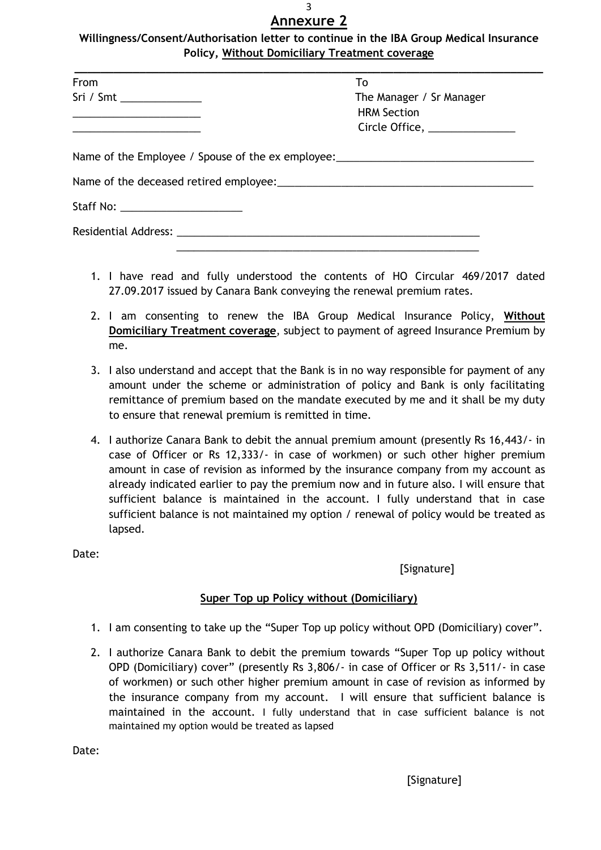**Willingness/Consent/Authorisation letter to continue in the IBA Group Medical Insurance Policy, Without Domiciliary Treatment coverage**

| From                                                                                                                   | To                                                                               |
|------------------------------------------------------------------------------------------------------------------------|----------------------------------------------------------------------------------|
| Sri / Smt __________________                                                                                           | The Manager / Sr Manager                                                         |
|                                                                                                                        | <b>HRM Section</b>                                                               |
| <u> 1989 - Johann John Stein, market fan it ferskearre fan it ferskearre fan it ferskearre fan it ferskearre fan i</u> | Circle Office, _______________                                                   |
|                                                                                                                        | Name of the Employee / Spouse of the ex employee: ______________________________ |
|                                                                                                                        |                                                                                  |
| Staff No: _________________________                                                                                    |                                                                                  |
|                                                                                                                        |                                                                                  |

- 1. I have read and fully understood the contents of HO Circular 469/2017 dated 27.09.2017 issued by Canara Bank conveying the renewal premium rates.
- 2. I am consenting to renew the IBA Group Medical Insurance Policy, **Without Domiciliary Treatment coverage**, subject to payment of agreed Insurance Premium by me.
- 3. I also understand and accept that the Bank is in no way responsible for payment of any amount under the scheme or administration of policy and Bank is only facilitating remittance of premium based on the mandate executed by me and it shall be my duty to ensure that renewal premium is remitted in time.
- 4. I authorize Canara Bank to debit the annual premium amount (presently Rs 16,443/- in case of Officer or Rs 12,333/- in case of workmen) or such other higher premium amount in case of revision as informed by the insurance company from my account as already indicated earlier to pay the premium now and in future also. I will ensure that sufficient balance is maintained in the account. I fully understand that in case sufficient balance is not maintained my option / renewal of policy would be treated as lapsed.

Date:

[Signature]

## **Super Top up Policy without (Domiciliary)**

- 1. I am consenting to take up the "Super Top up policy without OPD (Domiciliary) cover".
- 2. I authorize Canara Bank to debit the premium towards "Super Top up policy without OPD (Domiciliary) cover" (presently Rs 3,806/- in case of Officer or Rs 3,511/- in case of workmen) or such other higher premium amount in case of revision as informed by the insurance company from my account. I will ensure that sufficient balance is maintained in the account. I fully understand that in case sufficient balance is not maintained my option would be treated as lapsed

Date: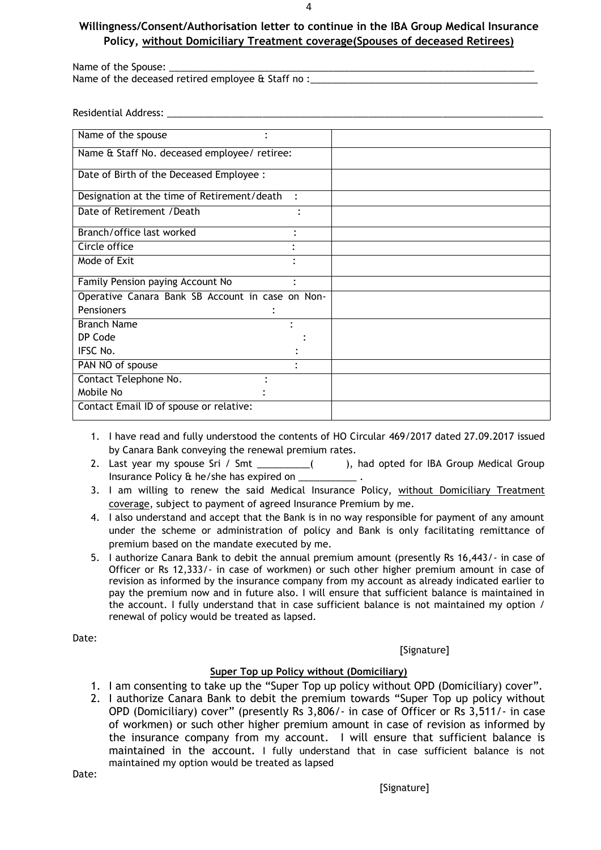4

### **Willingness/Consent/Authorisation letter to continue in the IBA Group Medical Insurance Policy, without Domiciliary Treatment coverage(Spouses of deceased Retirees)**

Name of the Spouse: Name of the deceased retired employee & Staff no :

Residential Address: \_

| Name of the spouse<br>٠                          |           |
|--------------------------------------------------|-----------|
| Name & Staff No. deceased employee/ retiree:     |           |
| Date of Birth of the Deceased Employee :         |           |
| Designation at the time of Retirement/death      |           |
| Date of Retirement / Death                       |           |
| Branch/office last worked                        |           |
| Circle office                                    |           |
| Mode of Exit                                     |           |
| Family Pension paying Account No                 | $\bullet$ |
| Operative Canara Bank SB Account in case on Non- |           |
| <b>Pensioners</b>                                |           |
| <b>Branch Name</b>                               |           |
| DP Code                                          |           |
| IFSC No.                                         |           |
| PAN NO of spouse                                 |           |
| Contact Telephone No.                            |           |
| Mobile No                                        |           |
| Contact Email ID of spouse or relative:          |           |
|                                                  |           |

- 1. I have read and fully understood the contents of HO Circular 469/2017 dated 27.09.2017 issued by Canara Bank conveying the renewal premium rates.
- 2. Last year my spouse Sri / Smt \_\_\_\_\_\_\_\_\_\_( ), had opted for IBA Group Medical Group Insurance Policy & he/she has expired on \_\_\_\_\_\_\_\_\_\_\_ .
- 3. I am willing to renew the said Medical Insurance Policy, without Domiciliary Treatment coverage, subject to payment of agreed Insurance Premium by me.
- 4. I also understand and accept that the Bank is in no way responsible for payment of any amount under the scheme or administration of policy and Bank is only facilitating remittance of premium based on the mandate executed by me.
- 5. I authorize Canara Bank to debit the annual premium amount (presently Rs 16,443/- in case of Officer or Rs 12,333/- in case of workmen) or such other higher premium amount in case of revision as informed by the insurance company from my account as already indicated earlier to pay the premium now and in future also. I will ensure that sufficient balance is maintained in the account. I fully understand that in case sufficient balance is not maintained my option / renewal of policy would be treated as lapsed.

### Date:

### **[Signature]**

## **Super Top up Policy without (Domiciliary)**

- 1. I am consenting to take up the "Super Top up policy without OPD (Domiciliary) cover".
- 2. I authorize Canara Bank to debit the premium towards "Super Top up policy without OPD (Domiciliary) cover" (presently Rs 3,806/- in case of Officer or Rs 3,511/- in case of workmen) or such other higher premium amount in case of revision as informed by the insurance company from my account. I will ensure that sufficient balance is maintained in the account. I fully understand that in case sufficient balance is not maintained my option would be treated as lapsed

Date:

**[Signature]**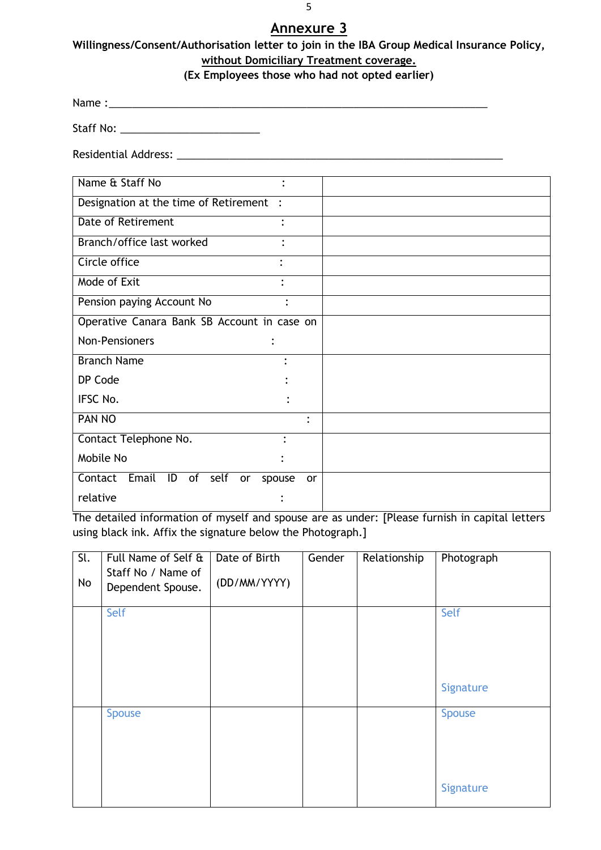**Willingness/Consent/Authorisation letter to join in the IBA Group Medical Insurance Policy, without Domiciliary Treatment coverage.** 

## **(Ex Employees those who had not opted earlier)**

Name :\_\_\_\_\_\_\_\_\_\_\_\_\_\_\_\_\_\_\_\_\_\_\_\_\_\_\_\_\_\_\_\_\_\_\_\_\_\_\_\_\_\_\_\_\_\_\_\_\_\_\_\_\_\_\_\_\_\_\_\_\_\_\_\_\_

Staff No: \_\_\_\_\_\_\_\_\_\_\_\_\_\_\_\_\_\_\_\_\_\_\_\_

Residential Address: \_\_\_\_\_\_\_\_\_\_\_\_\_\_\_\_\_\_\_\_\_\_\_\_\_\_\_\_\_\_\_\_\_\_\_\_\_\_\_\_\_\_\_\_\_\_\_\_\_\_\_\_\_\_\_\_

| Name & Staff No<br>$\bullet$                         |           |
|------------------------------------------------------|-----------|
| Designation at the time of Retirement :              |           |
| Date of Retirement                                   |           |
| Branch/office last worked                            |           |
| Circle office<br>٠                                   |           |
| Mode of Exit                                         |           |
| Pension paying Account No                            | ٠         |
| Operative Canara Bank SB Account in case on          |           |
| Non-Pensioners                                       |           |
| <b>Branch Name</b>                                   | ٠         |
| DP Code                                              |           |
| IFSC No.                                             |           |
| PAN NO                                               | $\bullet$ |
| Contact Telephone No.                                |           |
| Mobile No                                            |           |
| Email<br>ID<br>of<br>Contact<br>self<br>or<br>spouse | <b>or</b> |
| relative                                             |           |

The detailed information of myself and spouse are as under: [Please furnish in capital letters using black ink. Affix the signature below the Photograph.]

| $\overline{\mathsf{SL}}$ | Full Name of Self & | Date of Birth | Gender | Relationship | Photograph |
|--------------------------|---------------------|---------------|--------|--------------|------------|
|                          | Staff No / Name of  |               |        |              |            |
| No                       | Dependent Spouse.   | (DD/MM/YYYY)  |        |              |            |
|                          | Self                |               |        |              | Self       |
|                          |                     |               |        |              |            |
|                          |                     |               |        |              |            |
|                          |                     |               |        |              |            |
|                          |                     |               |        |              |            |
|                          |                     |               |        |              | Signature  |
|                          | <b>Spouse</b>       |               |        |              | Spouse     |
|                          |                     |               |        |              |            |
|                          |                     |               |        |              |            |
|                          |                     |               |        |              |            |
|                          |                     |               |        |              |            |
|                          |                     |               |        |              | Signature  |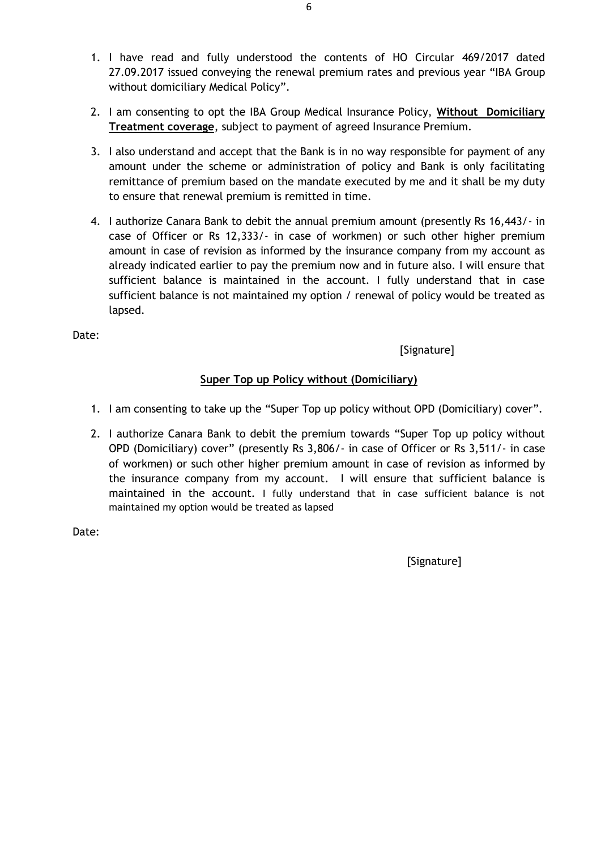- 1. I have read and fully understood the contents of HO Circular 469/2017 dated 27.09.2017 issued conveying the renewal premium rates and previous year "IBA Group without domiciliary Medical Policy".
- 2. I am consenting to opt the IBA Group Medical Insurance Policy, **Without Domiciliary Treatment coverage**, subject to payment of agreed Insurance Premium.
- 3. I also understand and accept that the Bank is in no way responsible for payment of any amount under the scheme or administration of policy and Bank is only facilitating remittance of premium based on the mandate executed by me and it shall be my duty to ensure that renewal premium is remitted in time.
- 4. I authorize Canara Bank to debit the annual premium amount (presently Rs 16,443/- in case of Officer or Rs 12,333/- in case of workmen) or such other higher premium amount in case of revision as informed by the insurance company from my account as already indicated earlier to pay the premium now and in future also. I will ensure that sufficient balance is maintained in the account. I fully understand that in case sufficient balance is not maintained my option / renewal of policy would be treated as lapsed.

Date:

[Signature]

# **Super Top up Policy without (Domiciliary)**

- 1. I am consenting to take up the "Super Top up policy without OPD (Domiciliary) cover".
- 2. I authorize Canara Bank to debit the premium towards "Super Top up policy without OPD (Domiciliary) cover" (presently Rs 3,806/- in case of Officer or Rs 3,511/- in case of workmen) or such other higher premium amount in case of revision as informed by the insurance company from my account. I will ensure that sufficient balance is maintained in the account. I fully understand that in case sufficient balance is not maintained my option would be treated as lapsed

Date:

[Signature]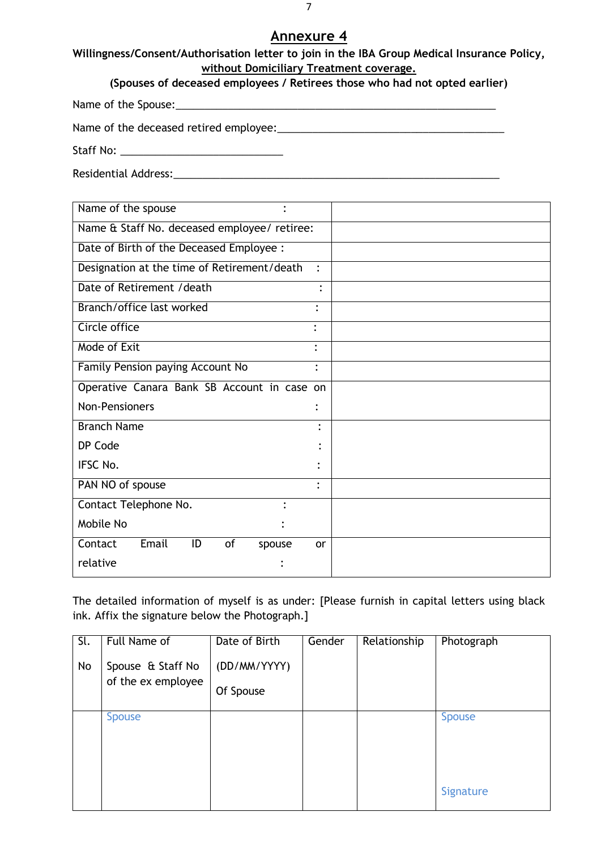**Willingness/Consent/Authorisation letter to join in the IBA Group Medical Insurance Policy, without Domiciliary Treatment coverage.** 

Name of the Spouse:\_\_\_\_\_\_\_\_\_\_\_\_\_\_\_\_\_\_\_\_\_\_\_\_\_\_\_\_\_\_\_\_\_\_\_\_\_\_\_\_\_\_\_\_\_\_\_\_\_\_\_\_\_\_\_

Name of the deceased retired employee:\_\_\_\_\_\_\_\_\_\_\_\_\_\_\_\_\_\_\_\_\_\_\_\_\_\_\_\_\_\_\_\_\_\_\_\_\_\_\_

Staff No: \_\_\_\_\_\_\_\_\_\_\_\_\_\_\_\_\_\_\_\_\_\_\_\_\_\_\_\_

Residential Address:\_\_\_\_\_\_\_\_\_\_\_\_\_\_\_\_\_\_\_\_\_\_\_\_\_\_\_\_\_\_\_\_\_\_\_\_\_\_\_\_\_\_\_\_\_\_\_\_\_\_\_\_\_\_\_\_

| Name of the spouse                           |                |
|----------------------------------------------|----------------|
| Name & Staff No. deceased employee/ retiree: |                |
| Date of Birth of the Deceased Employee :     |                |
| Designation at the time of Retirement/death  | $\ddot{\cdot}$ |
| Date of Retirement / death                   | $\bullet$      |
| Branch/office last worked                    | $\bullet$      |
| Circle office                                | $\ddot{\cdot}$ |
| Mode of Exit                                 | $\bullet$      |
| Family Pension paying Account No             | $\ddot{\cdot}$ |
| Operative Canara Bank SB Account in case on  |                |
| <b>Non-Pensioners</b>                        |                |
| <b>Branch Name</b>                           |                |
| DP Code                                      |                |
| <b>IFSC No.</b>                              |                |
| PAN NO of spouse                             | $\bullet$      |
| Contact Telephone No.<br>$\bullet$           |                |
| Mobile No                                    |                |
| Email<br>Contact<br>ID<br>of<br>spouse       | <b>or</b>      |
| relative                                     |                |

The detailed information of myself is as under: [Please furnish in capital letters using black ink. Affix the signature below the Photograph.]

| Full Name of      | Date of Birth      | Gender | Relationship | Photograph    |
|-------------------|--------------------|--------|--------------|---------------|
| Spouse & Staff No | (DD/MM/YYYY)       |        |              |               |
|                   | Of Spouse          |        |              |               |
| <b>Spouse</b>     |                    |        |              | <b>Spouse</b> |
|                   |                    |        |              |               |
|                   |                    |        |              |               |
|                   |                    |        |              | Signature     |
|                   | of the ex employee |        |              |               |

7